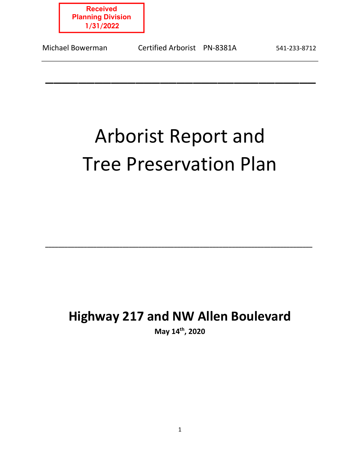

| Certified Arborist PN-8381A<br>Michael Bowerman | 541-233-8712 |
|-------------------------------------------------|--------------|
|-------------------------------------------------|--------------|

# Arborist Report and Tree Preservation Plan

\_\_\_\_\_\_\_\_\_\_\_\_\_\_\_\_\_\_\_\_\_\_\_\_\_\_\_\_\_\_\_\_\_

# **Highway 217 and NW Allen Boulevard**

 **\_\_\_\_\_\_\_\_\_\_\_\_\_\_\_\_\_\_\_\_\_\_\_\_\_\_\_\_\_\_\_\_\_\_\_\_\_\_\_\_\_\_\_\_\_\_\_\_\_\_\_\_\_\_\_\_\_\_\_\_\_\_\_\_\_\_\_\_\_\_\_\_\_\_\_\_\_\_\_\_\_\_\_** 

**May 14th, 2020**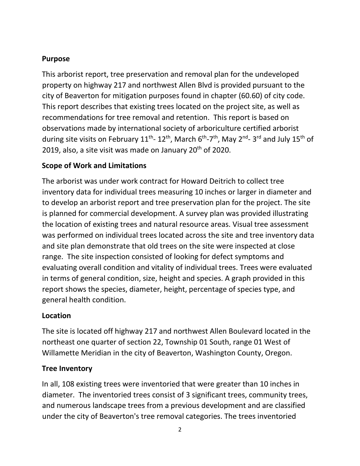# **Purpose**

This arborist report, tree preservation and removal plan for the undeveloped property on highway 217 and northwest Allen Blvd is provided pursuant to the city of Beaverton for mitigation purposes found in chapter (60.60) of city code. This report describes that existing trees located on the project site, as well as recommendations for tree removal and retention. This report is based on observations made by international society of arboriculture certified arborist during site visits on February 11<sup>th</sup>- 12<sup>th</sup>, March 6<sup>th</sup>-7<sup>th</sup>, May 2<sup>nd</sup>- 3<sup>rd</sup> and July 15<sup>th</sup> of 2019, also, a site visit was made on January  $20<sup>th</sup>$  of 2020.

# **Scope of Work and Limitations**

The arborist was under work contract for Howard Deitrich to collect tree inventory data for individual trees measuring 10 inches or larger in diameter and to develop an arborist report and tree preservation plan for the project. The site is planned for commercial development. A survey plan was provided illustrating the location of existing trees and natural resource areas. Visual tree assessment was performed on individual trees located across the site and tree inventory data and site plan demonstrate that old trees on the site were inspected at close range. The site inspection consisted of looking for defect symptoms and evaluating overall condition and vitality of individual trees. Trees were evaluated in terms of general condition, size, height and species. A graph provided in this report shows the species, diameter, height, percentage of species type, and general health condition.

## **Location**

The site is located off highway 217 and northwest Allen Boulevard located in the northeast one quarter of section 22, Township 01 South, range 01 West of Willamette Meridian in the city of Beaverton, Washington County, Oregon.

# **Tree Inventory**

In all, 108 existing trees were inventoried that were greater than 10 inches in diameter. The inventoried trees consist of 3 significant trees, community trees, and numerous landscape trees from a previous development and are classified under the city of Beaverton's tree removal categories. The trees inventoried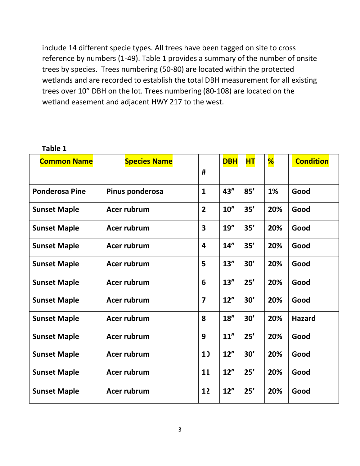include 14 different specie types. All trees have been tagged on site to cross reference by numbers (1-49). Table 1 provides a summary of the number of onsite trees by species. Trees numbering (50-80) are located within the protected wetlands and are recorded to establish the total DBH measurement for all existing trees over 10" DBH on the lot. Trees numbering (80-108) are located on the wetland easement and adjacent HWY 217 to the west.

| ב טושו                |                     |                         |            |           |     |                  |
|-----------------------|---------------------|-------------------------|------------|-----------|-----|------------------|
| <b>Common Name</b>    | <b>Species Name</b> |                         | <b>DBH</b> | <b>HT</b> | %   | <b>Condition</b> |
|                       |                     | #                       |            |           |     |                  |
| <b>Ponderosa Pine</b> | Pinus ponderosa     | $\mathbf{1}$            | 43"        | 85'       | 1%  | Good             |
| <b>Sunset Maple</b>   | Acer rubrum         | $\overline{2}$          | 10''       | 35'       | 20% | Good             |
| <b>Sunset Maple</b>   | Acer rubrum         | $\overline{\mathbf{3}}$ | 19''       | 35'       | 20% | Good             |
| <b>Sunset Maple</b>   | Acer rubrum         | $\overline{\mathbf{4}}$ | 14"        | 35'       | 20% | Good             |
| <b>Sunset Maple</b>   | Acer rubrum         | 5                       | 13''       | 30'       | 20% | Good             |
| <b>Sunset Maple</b>   | Acer rubrum         | 6                       | 13''       | 25'       | 20% | Good             |
| <b>Sunset Maple</b>   | <b>Acer rubrum</b>  | $\overline{\mathbf{z}}$ | 12"        | 30'       | 20% | Good             |
| <b>Sunset Maple</b>   | Acer rubrum         | 8                       | 18''       | 30'       | 20% | <b>Hazard</b>    |
| <b>Sunset Maple</b>   | Acer rubrum         | 9                       | 11"        | 25'       | 20% | Good             |
| <b>Sunset Maple</b>   | Acer rubrum         | 1)                      | 12"        | 30'       | 20% | Good             |
| <b>Sunset Maple</b>   | Acer rubrum         | 11                      | 12"        | 25'       | 20% | Good             |
| <b>Sunset Maple</b>   | Acer rubrum         | 12                      | 12"        | 25'       | 20% | Good             |

**Table 1**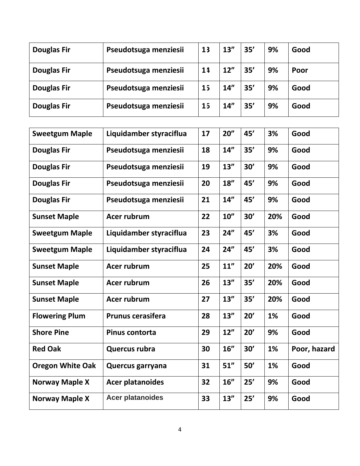| <b>Douglas Fir</b> | Pseudotsuga menziesii | 13             | 13'' | 35' | 9% | Good |
|--------------------|-----------------------|----------------|------|-----|----|------|
| <b>Douglas Fir</b> | Pseudotsuga menziesii | 11             | 12"  | 35' | 9% | Poor |
| <b>Douglas Fir</b> | Pseudotsuga menziesii | 1 <sub>5</sub> | 14"  | 35' | 9% | Good |
| <b>Douglas Fir</b> | Pseudotsuga menziesii | 15             | 14"  | 35' | 9% | Good |

| <b>Sweetgum Maple</b>   | Liquidamber styraciflua  | 17 | 20'' | 45' | 3%  | Good         |
|-------------------------|--------------------------|----|------|-----|-----|--------------|
| <b>Douglas Fir</b>      | Pseudotsuga menziesii    | 18 | 14"  | 35' | 9%  | Good         |
| <b>Douglas Fir</b>      | Pseudotsuga menziesii    | 19 | 13'' | 30' | 9%  | Good         |
| <b>Douglas Fir</b>      | Pseudotsuga menziesii    | 20 | 18'' | 45' | 9%  | Good         |
| <b>Douglas Fir</b>      | Pseudotsuga menziesii    | 21 | 14"  | 45' | 9%  | Good         |
| <b>Sunset Maple</b>     | <b>Acer rubrum</b>       | 22 | 10'' | 30' | 20% | Good         |
| <b>Sweetgum Maple</b>   | Liquidamber styraciflua  | 23 | 24"  | 45' | 3%  | Good         |
| <b>Sweetgum Maple</b>   | Liquidamber styraciflua  | 24 | 24"  | 45' | 3%  | Good         |
| <b>Sunset Maple</b>     | Acer rubrum              | 25 | 11"  | 20' | 20% | Good         |
| <b>Sunset Maple</b>     | <b>Acer rubrum</b>       | 26 | 13'' | 35' | 20% | Good         |
| <b>Sunset Maple</b>     | Acer rubrum              | 27 | 13'' | 35' | 20% | Good         |
| <b>Flowering Plum</b>   | <b>Prunus cerasifera</b> | 28 | 13'' | 20' | 1%  | Good         |
| <b>Shore Pine</b>       | Pinus contorta           | 29 | 12"  | 20' | 9%  | Good         |
| <b>Red Oak</b>          | Quercus rubra            | 30 | 16"  | 30' | 1%  | Poor, hazard |
| <b>Oregon White Oak</b> | Quercus garryana         | 31 | 51"  | 50' | 1%  | Good         |
| <b>Norway Maple X</b>   | <b>Acer platanoides</b>  | 32 | 16"  | 25' | 9%  | Good         |
| <b>Norway Maple X</b>   | <b>Acer platanoides</b>  | 33 | 13'' | 25' | 9%  | Good         |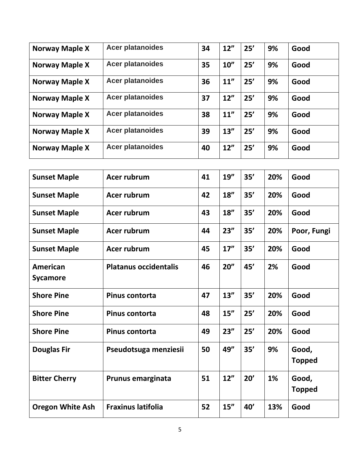| <b>Norway Maple X</b> | <b>Acer platanoides</b> | 34 | 12"  | 25' | 9% | Good |
|-----------------------|-------------------------|----|------|-----|----|------|
| Norway Maple X        | <b>Acer platanoides</b> | 35 | 10'' | 25' | 9% | Good |
| <b>Norway Maple X</b> | <b>Acer platanoides</b> | 36 | 11'' | 25' | 9% | Good |
| <b>Norway Maple X</b> | <b>Acer platanoides</b> | 37 | 12"  | 25' | 9% | Good |
| <b>Norway Maple X</b> | <b>Acer platanoides</b> | 38 | 11'' | 25' | 9% | Good |
| <b>Norway Maple X</b> | <b>Acer platanoides</b> | 39 | 13'' | 25' | 9% | Good |
| <b>Norway Maple X</b> | <b>Acer platanoides</b> | 40 | 12"  | 25' | 9% | Good |

| <b>Sunset Maple</b>     | Acer rubrum                  | 41 | 19'' | 35' | 20% | Good                   |
|-------------------------|------------------------------|----|------|-----|-----|------------------------|
| <b>Sunset Maple</b>     | Acer rubrum                  | 42 | 18"  | 35' | 20% | Good                   |
| <b>Sunset Maple</b>     | Acer rubrum                  | 43 | 18"  | 35' | 20% | Good                   |
| <b>Sunset Maple</b>     | Acer rubrum                  | 44 | 23'' | 35' | 20% | Poor, Fungi            |
| <b>Sunset Maple</b>     | Acer rubrum                  | 45 | 17'' | 35' | 20% | Good                   |
| American<br>Sycamore    | <b>Platanus occidentalis</b> | 46 | 20'' | 45' | 2%  | Good                   |
| <b>Shore Pine</b>       | <b>Pinus contorta</b>        | 47 | 13'' | 35' | 20% | Good                   |
| <b>Shore Pine</b>       | <b>Pinus contorta</b>        | 48 | 15'' | 25' | 20% | Good                   |
| <b>Shore Pine</b>       | Pinus contorta               | 49 | 23'' | 25' | 20% | Good                   |
| <b>Douglas Fir</b>      | Pseudotsuga menziesii        | 50 | 49"  | 35' | 9%  | Good,<br><b>Topped</b> |
| <b>Bitter Cherry</b>    | Prunus emarginata            | 51 | 12"  | 20' | 1%  | Good,<br><b>Topped</b> |
| <b>Oregon White Ash</b> | <b>Fraxinus latifolia</b>    | 52 | 15'' | 40' | 13% | Good                   |
|                         |                              |    |      |     |     |                        |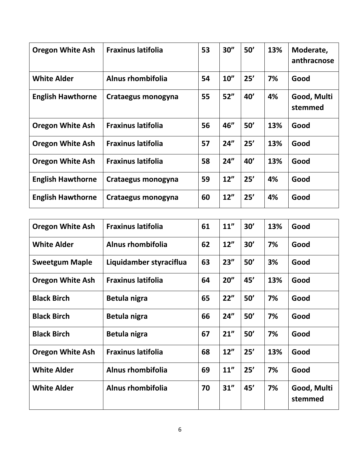| <b>Oregon White Ash</b>  | <b>Fraxinus latifolia</b> | 53 | 30'' | 50' | 13% | Moderate,<br>anthracnose |
|--------------------------|---------------------------|----|------|-----|-----|--------------------------|
| <b>White Alder</b>       | Alnus rhombifolia         | 54 | 10'' | 25' | 7%  | Good                     |
| <b>English Hawthorne</b> | Crataegus monogyna        | 55 | 52"  | 40' | 4%  | Good, Multi<br>stemmed   |
| <b>Oregon White Ash</b>  | <b>Fraxinus latifolia</b> | 56 | 46"  | 50' | 13% | Good                     |
| <b>Oregon White Ash</b>  | <b>Fraxinus latifolia</b> | 57 | 24"  | 25' | 13% | Good                     |
| <b>Oregon White Ash</b>  | <b>Fraxinus latifolia</b> | 58 | 24"  | 40' | 13% | Good                     |
| <b>English Hawthorne</b> | Crataegus monogyna        | 59 | 12"  | 25' | 4%  | Good                     |
| <b>English Hawthorne</b> | Crataegus monogyna        | 60 | 12"  | 25' | 4%  | Good                     |

| <b>Oregon White Ash</b> | <b>Fraxinus latifolia</b> | 61 | 11"  | 30' | 13% | Good                   |
|-------------------------|---------------------------|----|------|-----|-----|------------------------|
| <b>White Alder</b>      | Alnus rhombifolia         | 62 | 12"  | 30' | 7%  | Good                   |
| <b>Sweetgum Maple</b>   | Liquidamber styraciflua   | 63 | 23'' | 50' | 3%  | Good                   |
| <b>Oregon White Ash</b> | <b>Fraxinus latifolia</b> | 64 | 20'' | 45' | 13% | Good                   |
| <b>Black Birch</b>      | Betula nigra              | 65 | 22"  | 50' | 7%  | Good                   |
| <b>Black Birch</b>      | Betula nigra              | 66 | 24"  | 50' | 7%  | Good                   |
| <b>Black Birch</b>      | Betula nigra              | 67 | 21"  | 50' | 7%  | Good                   |
| <b>Oregon White Ash</b> | <b>Fraxinus latifolia</b> | 68 | 12"  | 25' | 13% | Good                   |
| <b>White Alder</b>      | Alnus rhombifolia         | 69 | 11"  | 25' | 7%  | Good                   |
| <b>White Alder</b>      | <b>Alnus rhombifolia</b>  | 70 | 31"  | 45' | 7%  | Good, Multi<br>stemmed |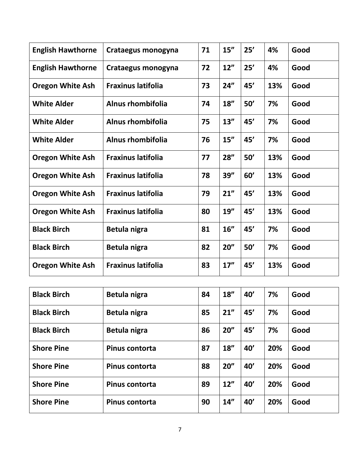| <b>English Hawthorne</b> | Crataegus monogyna        | 71 | 15'' | 25' | 4%  | Good |
|--------------------------|---------------------------|----|------|-----|-----|------|
| <b>English Hawthorne</b> | Crataegus monogyna        | 72 | 12"  | 25' | 4%  | Good |
| <b>Oregon White Ash</b>  | <b>Fraxinus latifolia</b> | 73 | 24"  | 45' | 13% | Good |
| <b>White Alder</b>       | Alnus rhombifolia         | 74 | 18'' | 50' | 7%  | Good |
| <b>White Alder</b>       | Alnus rhombifolia         | 75 | 13'' | 45' | 7%  | Good |
| <b>White Alder</b>       | <b>Alnus rhombifolia</b>  | 76 | 15"  | 45' | 7%  | Good |
| <b>Oregon White Ash</b>  | <b>Fraxinus latifolia</b> | 77 | 28'' | 50' | 13% | Good |
| <b>Oregon White Ash</b>  | <b>Fraxinus latifolia</b> | 78 | 39'' | 60' | 13% | Good |
| <b>Oregon White Ash</b>  | <b>Fraxinus latifolia</b> | 79 | 21"  | 45' | 13% | Good |
| <b>Oregon White Ash</b>  | <b>Fraxinus latifolia</b> | 80 | 19'' | 45' | 13% | Good |
| <b>Black Birch</b>       | Betula nigra              | 81 | 16"  | 45' | 7%  | Good |
| <b>Black Birch</b>       | Betula nigra              | 82 | 20'' | 50' | 7%  | Good |
| <b>Oregon White Ash</b>  | <b>Fraxinus latifolia</b> | 83 | 17"  | 45' | 13% | Good |

| <b>Black Birch</b> | Betula nigra          | 84 | 18'' | 40' | 7%  | Good |
|--------------------|-----------------------|----|------|-----|-----|------|
| <b>Black Birch</b> | Betula nigra          | 85 | 21"  | 45' | 7%  | Good |
| <b>Black Birch</b> | Betula nigra          | 86 | 20'' | 45' | 7%  | Good |
| <b>Shore Pine</b>  | Pinus contorta        | 87 | 18'' | 40' | 20% | Good |
| <b>Shore Pine</b>  | <b>Pinus contorta</b> | 88 | 20'' | 40' | 20% | Good |
| <b>Shore Pine</b>  | <b>Pinus contorta</b> | 89 | 12"  | 40' | 20% | Good |
| <b>Shore Pine</b>  | Pinus contorta        | 90 | 14'' | 40' | 20% | Good |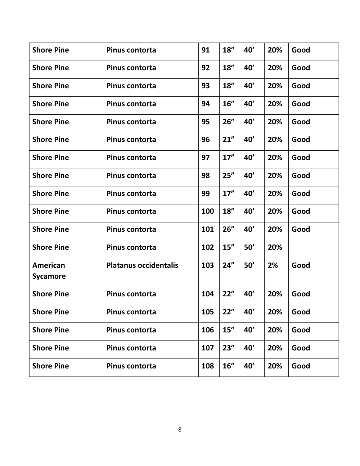| <b>Shore Pine</b>           | Pinus contorta               | 91  | 18'' | 40' | 20% | Good |
|-----------------------------|------------------------------|-----|------|-----|-----|------|
| <b>Shore Pine</b>           | Pinus contorta               | 92  | 18'' | 40' | 20% | Good |
| <b>Shore Pine</b>           | Pinus contorta               | 93  | 18'' | 40' | 20% | Good |
| <b>Shore Pine</b>           | Pinus contorta               | 94  | 16"  | 40' | 20% | Good |
| <b>Shore Pine</b>           | Pinus contorta               | 95  | 26"  | 40' | 20% | Good |
| <b>Shore Pine</b>           | Pinus contorta               | 96  | 21"  | 40' | 20% | Good |
| <b>Shore Pine</b>           | Pinus contorta               | 97  | 17'' | 40' | 20% | Good |
| <b>Shore Pine</b>           | <b>Pinus contorta</b>        | 98  | 25"  | 40' | 20% | Good |
| <b>Shore Pine</b>           | <b>Pinus contorta</b>        | 99  | 17'' | 40' | 20% | Good |
| <b>Shore Pine</b>           | Pinus contorta               | 100 | 18"  | 40' | 20% | Good |
| <b>Shore Pine</b>           | Pinus contorta               | 101 | 26"  | 40' | 20% | Good |
| <b>Shore Pine</b>           | Pinus contorta               | 102 | 15'' | 50' | 20% |      |
| American<br><b>Sycamore</b> | <b>Platanus occidentalis</b> | 103 | 24"  | 50' | 2%  | Good |
| <b>Shore Pine</b>           | Pinus contorta               | 104 | 22"  | 40' | 20% | Good |
| <b>Shore Pine</b>           | Pinus contorta               | 105 | 22"  | 40' | 20% | Good |
| <b>Shore Pine</b>           | Pinus contorta               | 106 | 15"  | 40' | 20% | Good |
| <b>Shore Pine</b>           | Pinus contorta               | 107 | 23'' | 40' | 20% | Good |
| <b>Shore Pine</b>           | Pinus contorta               | 108 | 16"  | 40' | 20% | Good |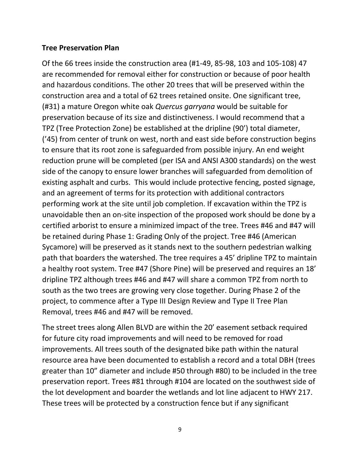#### **Tree Preservation Plan**

Of the 66 trees inside the construction area (#1-49, 85-98, 103 and 105-108) 47 are recommended for removal either for construction or because of poor health and hazardous conditions. The other 20 trees that will be preserved within the construction area and a total of 62 trees retained onsite. One significant tree, (#31) a mature Oregon white oak *Quercus garryana* would be suitable for preservation because of its size and distinctiveness. I would recommend that a TPZ (Tree Protection Zone) be established at the dripline (90') total diameter, ('45) from center of trunk on west, north and east side before construction begins to ensure that its root zone is safeguarded from possible injury. An end weight reduction prune will be completed (per ISA and ANSI A300 standards) on the west side of the canopy to ensure lower branches will safeguarded from demolition of existing asphalt and curbs. This would include protective fencing, posted signage, and an agreement of terms for its protection with additional contractors performing work at the site until job completion. If excavation within the TPZ is unavoidable then an on-site inspection of the proposed work should be done by a certified arborist to ensure a minimized impact of the tree. Trees #46 and #47 will be retained during Phase 1: Grading Only of the project. Tree #46 (American Sycamore) will be preserved as it stands next to the southern pedestrian walking path that boarders the watershed. The tree requires a 45' dripline TPZ to maintain a healthy root system. Tree #47 (Shore Pine) will be preserved and requires an 18' dripline TPZ although trees #46 and #47 will share a common TPZ from north to south as the two trees are growing very close together. During Phase 2 of the project, to commence after a Type III Design Review and Type II Tree Plan Removal, trees #46 and #47 will be removed.

The street trees along Allen BLVD are within the 20' easement setback required for future city road improvements and will need to be removed for road improvements. All trees south of the designated bike path within the natural resource area have been documented to establish a record and a total DBH (trees greater than 10" diameter and include #50 through #80) to be included in the tree preservation report. Trees #81 through #104 are located on the southwest side of the lot development and boarder the wetlands and lot line adjacent to HWY 217. These trees will be protected by a construction fence but if any significant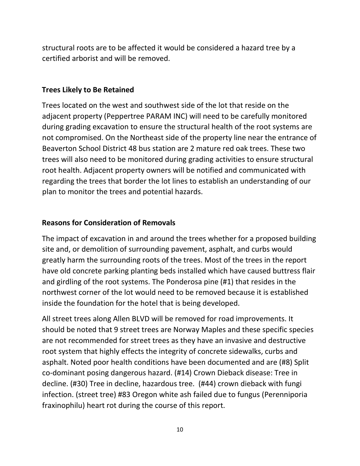structural roots are to be affected it would be considered a hazard tree by a certified arborist and will be removed.

#### **Trees Likely to Be Retained**

Trees located on the west and southwest side of the lot that reside on the adjacent property (Peppertree PARAM INC) will need to be carefully monitored during grading excavation to ensure the structural health of the root systems are not compromised. On the Northeast side of the property line near the entrance of Beaverton School District 48 bus station are 2 mature red oak trees. These two trees will also need to be monitored during grading activities to ensure structural root health. Adjacent property owners will be notified and communicated with regarding the trees that border the lot lines to establish an understanding of our plan to monitor the trees and potential hazards.

## **Reasons for Consideration of Removals**

The impact of excavation in and around the trees whether for a proposed building site and, or demolition of surrounding pavement, asphalt, and curbs would greatly harm the surrounding roots of the trees. Most of the trees in the report have old concrete parking planting beds installed which have caused buttress flair and girdling of the root systems. The Ponderosa pine (#1) that resides in the northwest corner of the lot would need to be removed because it is established inside the foundation for the hotel that is being developed.

All street trees along Allen BLVD will be removed for road improvements. It should be noted that 9 street trees are Norway Maples and these specific species are not recommended for street trees as they have an invasive and destructive root system that highly effects the integrity of concrete sidewalks, curbs and asphalt. Noted poor health conditions have been documented and are (#8) Split co-dominant posing dangerous hazard. (#14) Crown Dieback disease: Tree in decline. (#30) Tree in decline, hazardous tree. (#44) crown dieback with fungi infection. (street tree) #83 Oregon white ash failed due to fungus (Perenniporia fraxinophilu) heart rot during the course of this report.